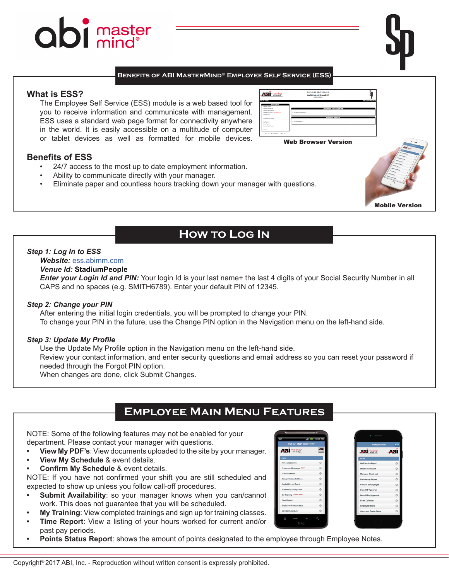# **abi** master

#### **Benefits of ABI MasterMind® Employee Self Service (ESS)**

#### **What is ESS?**

The Employee Self Service (ESS) module is a web based tool for you to receive information and communicate with management. ESS uses a standard web page format for connectivity anywhere in the world. It is easily accessible on a multitude of computer or tablet devices as well as formatted for mobile devices.

#### **Benefits of ESS**

- 24/7 access to the most up to date employment information.
- Ability to communicate directly with your manager.
- Eliminate paper and countless hours tracking down your manager with questions.

## **How to Log In**

#### *Step 1: Log In to ESS*

#### *Website:* [ess.abimm.com](http://ess.abimm.com)

#### *Venue Id:* **StadiumPeople**

*Enter your Login Id and PIN:* Your login Id is your last name+ the last 4 digits of your Social Security Number in all CAPS and no spaces (e.g. SMITH6789). Enter your default PIN of 12345.

#### *Step 2: Change your PIN*

After entering the initial login credentials, you will be prompted to change your PIN. To change your PIN in the future, use the Change PIN option in the Navigation menu on the left-hand side.

#### *Step 3: Update My Profile*

Use the Update My Profile option in the Navigation menu on the left-hand side.

Review your contact information, and enter security questions and email address so you can reset your password if needed through the Forgot PIN option.

When changes are done, click Submit Changes.

## **Employee Main Menu Features**

NOTE: Some of the following features may not be enabled for your department. Please contact your manager with questions.

- **• View My PDF's**: View documents uploaded to the site by your manager.
- **• View My Schedule** & event details.
- **• Confirm My Schedule** & event details.

NOTE: If you have not confirmed your shift you are still scheduled and expected to show up unless you follow call-off procedures.

- **Submit Availability**: so your manager knows when you can/cannot work. This does not guarantee that you will be scheduled.
- **• My Training**: View completed trainings and sign up for training classes.
- **Time Report:** View a listing of your hours worked for current and/or past pay periods.
- **• Points Status Report**: shows the amount of points designated to the employee through Employee Notes.





Mobile Version



Web Browser Version

EMPLOYEE SELF SERVICE<br>NATASSIA HERNANDEZ

**Azi**ma<sub>ste</sub>